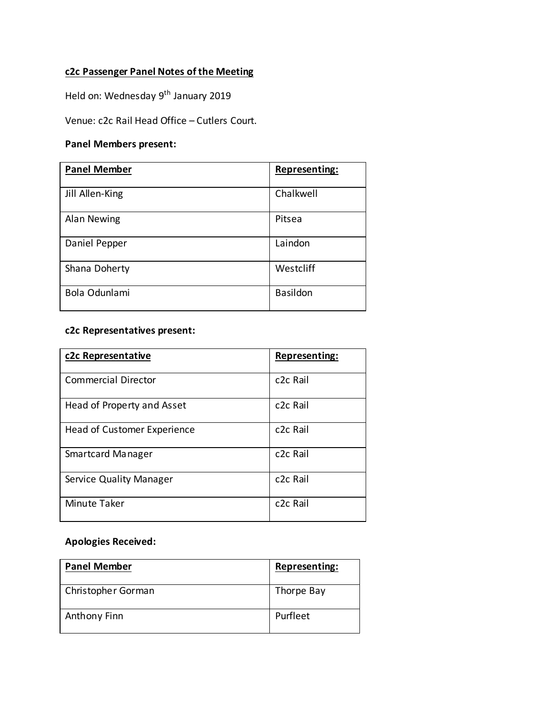## **c2c Passenger Panel Notes of the Meeting**

Held on: Wednesday 9<sup>th</sup> January 2019

Venue: c2c Rail Head Office – Cutlers Court.

## **Panel Members present:**

| <b>Panel Member</b> | Representing:   |
|---------------------|-----------------|
|                     |                 |
| Jill Allen-King     | Chalkwell       |
| Alan Newing         | Pitsea          |
| Daniel Pepper       | Laindon         |
| Shana Doherty       | Westcliff       |
| Bola Odunlami       | <b>Basildon</b> |

## **c2c Representatives present:**

| c2c Representative             | Representing:         |
|--------------------------------|-----------------------|
| <b>Commercial Director</b>     | c <sub>2</sub> c Rail |
| Head of Property and Asset     | c <sub>2</sub> c Rail |
| Head of Customer Experience    | c <sub>2</sub> c Rail |
| Smartcard Manager              | c <sub>2</sub> c Rail |
| <b>Service Quality Manager</b> | c <sub>2</sub> c Rail |
| Minute Taker                   | c <sub>2</sub> c Rail |

## **Apologies Received:**

| <b>Panel Member</b> | Representing: |
|---------------------|---------------|
| Christopher Gorman  | Thorpe Bay    |
| Anthony Finn        | Purfleet      |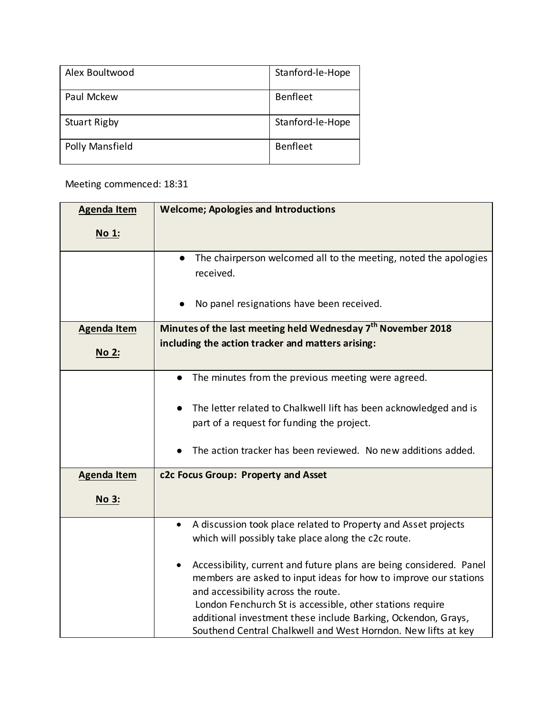| Alex Boultwood      | Stanford-le-Hope |
|---------------------|------------------|
| Paul Mckew          | Benfleet         |
| <b>Stuart Rigby</b> | Stanford-le-Hope |
| Polly Mansfield     | <b>Benfleet</b>  |

Meeting commenced: 18:31

| <b>Agenda Item</b> | <b>Welcome; Apologies and Introductions</b>                                                                                                                                                                                                                                                                                                                                                |
|--------------------|--------------------------------------------------------------------------------------------------------------------------------------------------------------------------------------------------------------------------------------------------------------------------------------------------------------------------------------------------------------------------------------------|
| No 1:              |                                                                                                                                                                                                                                                                                                                                                                                            |
|                    | The chairperson welcomed all to the meeting, noted the apologies<br>received.<br>No panel resignations have been received.                                                                                                                                                                                                                                                                 |
| <b>Agenda Item</b> | Minutes of the last meeting held Wednesday 7 <sup>th</sup> November 2018                                                                                                                                                                                                                                                                                                                   |
| No 2:              | including the action tracker and matters arising:                                                                                                                                                                                                                                                                                                                                          |
|                    | The minutes from the previous meeting were agreed.<br>$\bullet$                                                                                                                                                                                                                                                                                                                            |
|                    | The letter related to Chalkwell lift has been acknowledged and is                                                                                                                                                                                                                                                                                                                          |
|                    | part of a request for funding the project.                                                                                                                                                                                                                                                                                                                                                 |
|                    | The action tracker has been reviewed. No new additions added.                                                                                                                                                                                                                                                                                                                              |
| <b>Agenda Item</b> | c2c Focus Group: Property and Asset                                                                                                                                                                                                                                                                                                                                                        |
| No 3:              |                                                                                                                                                                                                                                                                                                                                                                                            |
|                    | A discussion took place related to Property and Asset projects<br>$\bullet$                                                                                                                                                                                                                                                                                                                |
|                    | which will possibly take place along the c2c route.                                                                                                                                                                                                                                                                                                                                        |
|                    | Accessibility, current and future plans are being considered. Panel<br>$\bullet$<br>members are asked to input ideas for how to improve our stations<br>and accessibility across the route.<br>London Fenchurch St is accessible, other stations require<br>additional investment these include Barking, Ockendon, Grays,<br>Southend Central Chalkwell and West Horndon. New lifts at key |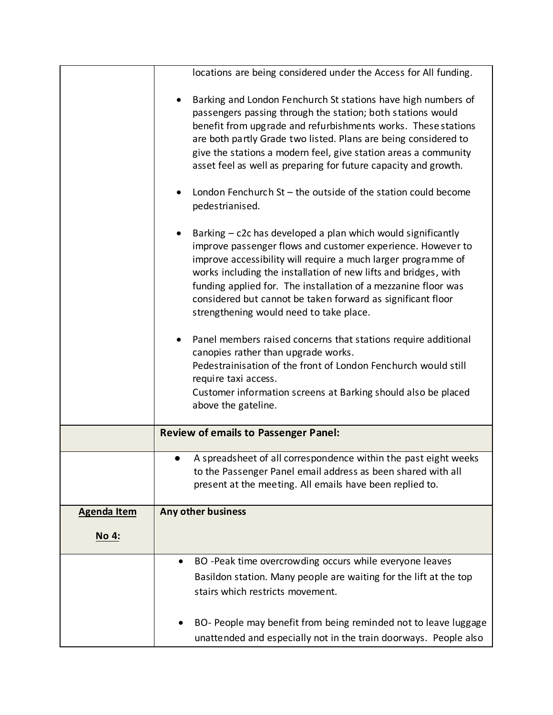|                    | locations are being considered under the Access for All funding.                                                                                                                                                                                                                                                                                                                                                                                         |
|--------------------|----------------------------------------------------------------------------------------------------------------------------------------------------------------------------------------------------------------------------------------------------------------------------------------------------------------------------------------------------------------------------------------------------------------------------------------------------------|
|                    | Barking and London Fenchurch St stations have high numbers of<br>passengers passing through the station; both stations would<br>benefit from upgrade and refurbishments works. These stations<br>are both partly Grade two listed. Plans are being considered to<br>give the stations a modern feel, give station areas a community<br>asset feel as well as preparing for future capacity and growth.                                                   |
|                    | London Fenchurch $St$ – the outside of the station could become<br>pedestrianised.                                                                                                                                                                                                                                                                                                                                                                       |
|                    | Barking – c2c has developed a plan which would significantly<br>$\bullet$<br>improve passenger flows and customer experience. However to<br>improve accessibility will require a much larger programme of<br>works including the installation of new lifts and bridges, with<br>funding applied for. The installation of a mezzanine floor was<br>considered but cannot be taken forward as significant floor<br>strengthening would need to take place. |
|                    | Panel members raised concerns that stations require additional                                                                                                                                                                                                                                                                                                                                                                                           |
|                    | canopies rather than upgrade works.<br>Pedestrainisation of the front of London Fenchurch would still<br>require taxi access.<br>Customer information screens at Barking should also be placed                                                                                                                                                                                                                                                           |
|                    | above the gateline.                                                                                                                                                                                                                                                                                                                                                                                                                                      |
|                    | <b>Review of emails to Passenger Panel:</b>                                                                                                                                                                                                                                                                                                                                                                                                              |
|                    | A spreadsheet of all correspondence within the past eight weeks<br>$\bullet$<br>to the Passenger Panel email address as been shared with all<br>present at the meeting. All emails have been replied to.                                                                                                                                                                                                                                                 |
| <b>Agenda Item</b> | Any other business                                                                                                                                                                                                                                                                                                                                                                                                                                       |
| No 4:              |                                                                                                                                                                                                                                                                                                                                                                                                                                                          |
|                    | BO -Peak time overcrowding occurs while everyone leaves                                                                                                                                                                                                                                                                                                                                                                                                  |
|                    | Basildon station. Many people are waiting for the lift at the top                                                                                                                                                                                                                                                                                                                                                                                        |
|                    | stairs which restricts movement.                                                                                                                                                                                                                                                                                                                                                                                                                         |
|                    | BO- People may benefit from being reminded not to leave luggage                                                                                                                                                                                                                                                                                                                                                                                          |
|                    | unattended and especially not in the train doorways. People also                                                                                                                                                                                                                                                                                                                                                                                         |